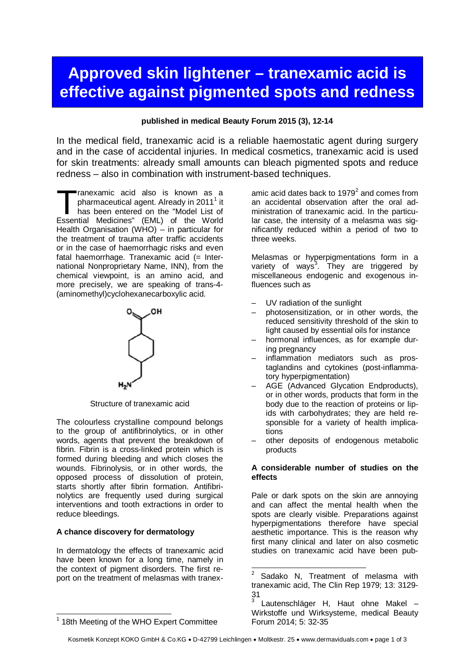# **Approved skin lightener – tranexamic acid is effective against pigmented spots and redness**

#### **published in medical Beauty Forum 2015 (3), 12-14**

In the medical field, tranexamic acid is a reliable haemostatic agent during surgery and in the case of accidental injuries. In medical cosmetics, tranexamic acid is used for skin treatments: already small amounts can bleach pigmented spots and reduce redness – also in combination with instrument-based techniques.

ranexamic acid also is known as a pharmaceutical agent. Already in 2011<sup>1</sup> it has been entered on the "Model List of Tranexamic acid also is known as a pharmaceutical agent. Already in 2011<sup>1</sup> it has been entered on the "Model List of Essential Medicines" (EML) of the World Health Organisation (WHO) – in particular for the treatment of trauma after traffic accidents or in the case of haemorrhagic risks and even fatal haemorrhage. Tranexamic acid (= International Nonproprietary Name, INN), from the chemical viewpoint, is an amino acid, and more precisely, we are speaking of trans-4- (aminomethyl)cyclohexanecarboxylic acid.



Structure of tranexamic acid

The colourless crystalline compound belongs to the group of antifibrinolytics, or in other words, agents that prevent the breakdown of fibrin. Fibrin is a cross-linked protein which is formed during bleeding and which closes the wounds. Fibrinolysis, or in other words, the opposed process of dissolution of protein, starts shortly after fibrin formation. Antifibrinolytics are frequently used during surgical interventions and tooth extractions in order to reduce bleedings.

# **A chance discovery for dermatology**

In dermatology the effects of tranexamic acid have been known for a long time, namely in the context of pigment disorders. The first report on the treatment of melasmas with tranexamic acid dates back to 1979 $^2$  and comes from an accidental observation after the oral administration of tranexamic acid. In the particular case, the intensity of a melasma was significantly reduced within a period of two to three weeks.

Melasmas or hyperpigmentations form in a variety of ways<sup>3</sup>. They are triggered by miscellaneous endogenic and exogenous influences such as

- UV radiation of the sunlight
- photosensitization, or in other words, the reduced sensitivity threshold of the skin to light caused by essential oils for instance
- hormonal influences, as for example during pregnancy
- inflammation mediators such as prostaglandins and cytokines (post-inflammatory hyperpigmentation)
- AGE (Advanced Glycation Endproducts), or in other words, products that form in the body due to the reaction of proteins or lipids with carbohydrates; they are held responsible for a variety of health implications
- other deposits of endogenous metabolic products

# **A considerable number of studies on the effects**

Pale or dark spots on the skin are annoying and can affect the mental health when the spots are clearly visible. Preparations against hyperpigmentations therefore have special aesthetic importance. This is the reason why first many clinical and later on also cosmetic studies on tranexamic acid have been pub-

<sup>&</sup>lt;sup>1</sup> 18th Meeting of the WHO Expert Committee

<sup>2</sup> Sadako N, Treatment of melasma with tranexamic acid, The Clin Rep 1979; 13: 3129- 31 3

Lautenschläger H, Haut ohne Makel – Wirkstoffe und Wirksysteme, medical Beauty Forum 2014; 5: 32-35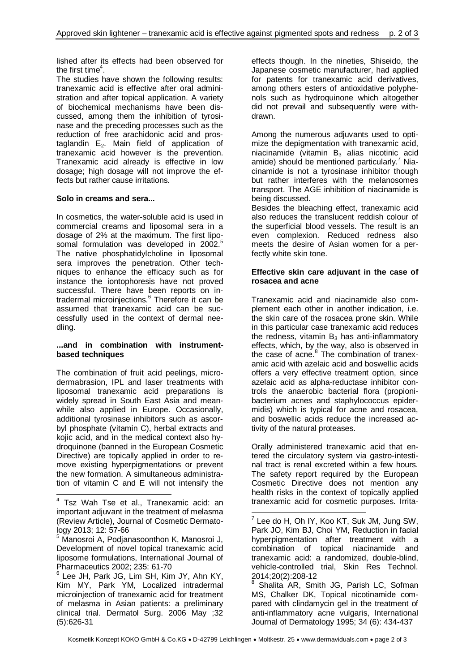lished after its effects had been observed for the first time $^4$ .

The studies have shown the following results: tranexamic acid is effective after oral administration and after topical application. A variety of biochemical mechanisms have been discussed, among them the inhibition of tyrosinase and the preceding processes such as the reduction of free arachidonic acid and prostaglandin  $E_2$ . Main field of application of tranexamic acid however is the prevention. Tranexamic acid already is effective in low dosage; high dosage will not improve the effects but rather cause irritations.

# **Solo in creams and sera...**

In cosmetics, the water-soluble acid is used in commercial creams and liposomal sera in a dosage of 2% at the maximum. The first liposomal formulation was developed in 2002.<sup>5</sup> The native phosphatidylcholine in liposomal sera improves the penetration. Other techniques to enhance the efficacy such as for instance the iontophoresis have not proved successful. There have been reports on intradermal microinjections.<sup>6</sup> Therefore it can be assumed that tranexamic acid can be successfully used in the context of dermal needling.

#### **...and in combination with instrumentbased techniques**

The combination of fruit acid peelings, microdermabrasion, IPL and laser treatments with liposomal tranexamic acid preparations is widely spread in South East Asia and meanwhile also applied in Europe. Occasionally, additional tyrosinase inhibitors such as ascorbyl phosphate (vitamin C), herbal extracts and kojic acid, and in the medical context also hydroquinone (banned in the European Cosmetic Directive) are topically applied in order to remove existing hyperpigmentations or prevent the new formation. A simultaneous administration of vitamin C and E will not intensify the

6 Lee JH, Park JG, Lim SH, Kim JY, Ahn KY, Kim MY, Park YM, Localized intradermal microinjection of tranexamic acid for treatment of melasma in Asian patients: a preliminary clinical trial. Dermatol Surg. 2006 May ;32 (5):626-31

effects though. In the nineties, Shiseido, the Japanese cosmetic manufacturer, had applied for patents for tranexamic acid derivatives, among others esters of antioxidative polyphenols such as hydroquinone which altogether did not prevail and subsequently were withdrawn.

Among the numerous adjuvants used to optimize the depigmentation with tranexamic acid, niacinamide (vitamin  $B_3$  alias nicotinic acid amide) should be mentioned particularly. $7$  Niacinamide is not a tyrosinase inhibitor though but rather interferes with the melanosomes transport. The AGE inhibition of niacinamide is being discussed.

Besides the bleaching effect, tranexamic acid also reduces the translucent reddish colour of the superficial blood vessels. The result is an even complexion. Reduced redness also meets the desire of Asian women for a perfectly white skin tone.

#### **Effective skin care adjuvant in the case of rosacea and acne**

Tranexamic acid and niacinamide also complement each other in another indication, i.e. the skin care of the rosacea prone skin. While in this particular case tranexamic acid reduces the redness, vitamin  $B_3$  has anti-inflammatory effects, which, by the way, also is observed in the case of acne.<sup>8</sup> The combination of tranexamic acid with azelaic acid and boswellic acids offers a very effective treatment option, since azelaic acid as alpha-reductase inhibitor controls the anaerobic bacterial flora (propionibacterium acnes and staphylococcus epidermidis) which is typical for acne and rosacea, and boswellic acids reduce the increased activity of the natural proteases.

Orally administered tranexamic acid that entered the circulatory system via gastro-intestinal tract is renal excreted within a few hours. The safety report required by the European Cosmetic Directive does not mention any health risks in the context of topically applied tranexamic acid for cosmetic purposes. Irrita-

<sup>&</sup>lt;sup>4</sup> Tsz Wah Tse et al., Tranexamic acid: an important adjuvant in the treatment of melasma (Review Article), Journal of Cosmetic Dermatology 2013; 12: 57-66

<sup>5</sup> Manosroi A, Podjanasoonthon K, Manosroi J, Development of novel topical tranexamic acid liposome formulations, International Journal of Pharmaceutics 2002; 235: 61-70

 $7$  Lee do H, Oh IY, Koo KT, Suk JM, Jung SW, Park JO, Kim BJ, Choi YM, Reduction in facial hyperpigmentation after treatment with a combination of topical niacinamide and tranexamic acid: a randomized, double-blind, vehicle-controlled trial, Skin Res Technol. 2014;20(2):208-12

<sup>8</sup> Shalita AR, Smith JG, Parish LC, Sofman MS, Chalker DK, Topical nicotinamide compared with clindamycin gel in the treatment of anti-inflammatory acne vulgaris, International Journal of Dermatology 1995; 34 (6): 434-437